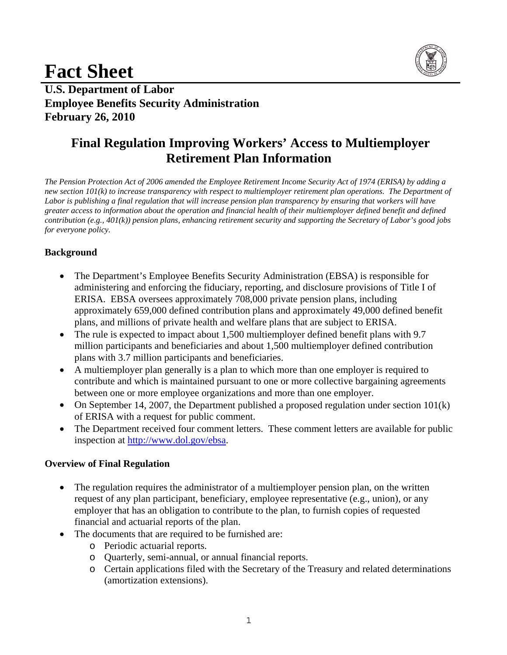# **Fact Sheet**



**U.S. Department of Labor Employee Benefits Security Administration February 26, 2010** 

## **Final Regulation Improving Workers' Access to Multiemployer Retirement Plan Information**

*The Pension Protection Act of 2006 amended the Employee Retirement Income Security Act of 1974 (ERISA) by adding a new section 101(k) to increase transparency with respect to multiemployer retirement plan operations. The Department of Labor is publishing a final regulation that will increase pension plan transparency by ensuring that workers will have greater access to information about the operation and financial health of their multiemployer defined benefit and defined contribution (e.g., 401(k)) pension plans, enhancing retirement security and supporting the Secretary of Labor's good jobs for everyone policy.* 

### **Background**

- The Department's Employee Benefits Security Administration (EBSA) is responsible for administering and enforcing the fiduciary, reporting, and disclosure provisions of Title I of ERISA. EBSA oversees approximately 708,000 private pension plans, including approximately 659,000 defined contribution plans and approximately 49,000 defined benefit plans, and millions of private health and welfare plans that are subject to ERISA.
- The rule is expected to impact about 1,500 multiemployer defined benefit plans with 9.7 million participants and beneficiaries and about 1,500 multiemployer defined contribution plans with 3.7 million participants and beneficiaries.
- A multiemployer plan generally is a plan to which more than one employer is required to contribute and which is maintained pursuant to one or more collective bargaining agreements between one or more employee organizations and more than one employer.
- On September 14, 2007, the Department published a proposed regulation under section 101(k) of ERISA with a request for public comment.
- The Department received four comment letters. These comment letters are available for public inspection at http://www.dol.gov/ebsa.

#### **Overview of Final Regulation**

- The regulation requires the administrator of a multiemployer pension plan, on the written request of any plan participant, beneficiary, employee representative (e.g., union), or any employer that has an obligation to contribute to the plan, to furnish copies of requested financial and actuarial reports of the plan.
- The documents that are required to be furnished are:
	- o Periodic actuarial reports.
	- o Quarterly, semi-annual, or annual financial reports.
	- o Certain applications filed with the Secretary of the Treasury and related determinations (amortization extensions).